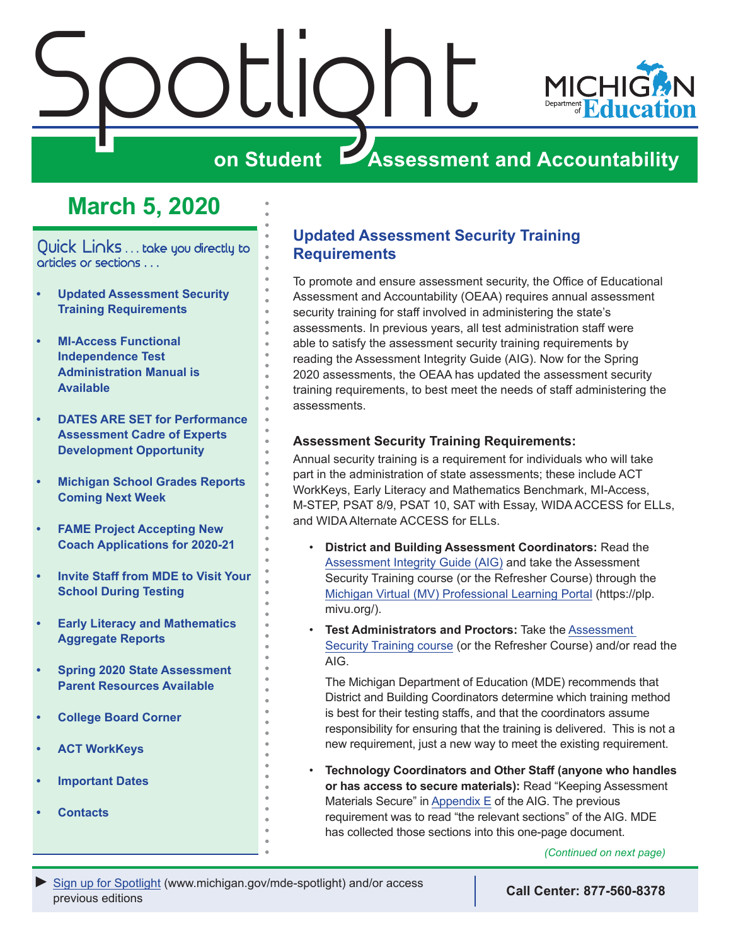<span id="page-0-0"></span>



## **ZASSESSMENT AND ACCOUNTABILITY**

## **March 5, 2020**

Quick Links . . . take you directly to articles or sections . . .

- **• Updated Assessment Security Training Requirements**
- **• [MI-Access Functional](#page-1-0)  [Independence Test](#page-1-0)  [Administration Manual is](#page-1-0)  [Available](#page-1-0)**
- **• [DATES ARE SET for Performance](#page-1-0)  [Assessment Cadre of Experts](#page-1-0)  [Development Opportunity](#page-1-0)**
- **• [Michigan School Grades Reports](#page-2-0)  [Coming Next Week](#page-2-0)**
- **• [FAME Project Accepting New](#page-2-0)  [Coach Applications for 2020-21](#page-2-0)**
- **• [Invite Staff from MDE to Visit Your](#page-2-0) [School During Testing](#page-2-0)**
- **• [Early Literacy and Mathematics](#page-3-0)  [Aggregate Reports](#page-3-0)**
- **• [Spring 2020 State Assessment](#page-3-0)  [Parent Resources Available](#page-3-0)**
- **• [College Board Corner](#page-4-0)**
- **• [ACT WorkKeys](#page-6-0)**
- **• [Important Dates](#page-8-0)**
- **• [Contacts](#page-9-0)**

## **Updated Assessment Security Training Requirements**

To promote and ensure assessment security, the Office of Educational Assessment and Accountability (OEAA) requires annual assessment security training for staff involved in administering the state's assessments. In previous years, all test administration staff were able to satisfy the assessment security training requirements by reading the Assessment Integrity Guide (AIG). Now for the Spring 2020 assessments, the OEAA has updated the assessment security training requirements, to best meet the needs of staff administering the assessments.

#### **Assessment Security Training Requirements:**

Annual security training is a requirement for individuals who will take part in the administration of state assessments; these include ACT WorkKeys, Early Literacy and Mathematics Benchmark, MI-Access, M-STEP, PSAT 8/9, PSAT 10, SAT with Essay, WIDA ACCESS for ELLs, and WIDA Alternate ACCESS for ELLs.

- **District and Building Assessment Coordinators:** Read the [Assessment Integrity Guide \(AIG\)](https://www.michigan.gov/documents/mde/Assessment_Integrity_Guide_291950_7.pdf) and take the Assessment Security Training course (or the Refresher Course) through the [Michigan Virtual \(MV\) Professional Learning Portal](https://plp.mivu.org/) (https://plp. mivu.org/).
- **Test Administrators and Proctors:** Take the [Assessment](http://bit.ly/MDEAssessmentSecurity)  [Security Training course](http://bit.ly/MDEAssessmentSecurity) (or the Refresher Course) and/or read the AIG.

The Michigan Department of Education (MDE) recommends that District and Building Coordinators determine which training method is best for their testing staffs, and that the coordinators assume responsibility for ensuring that the training is delivered. This is not a new requirement, just a new way to meet the existing requirement.

• **Technology Coordinators and Other Staff (anyone who handles or has access to secure materials):** Read "Keeping Assessment Materials Secure" in [Appendix E](https://www.michigan.gov/documents/mde/Assessment_Integrity_Guide_291950_7.pdf#page=41) of the AIG. The previous requirement was to read "the relevant sections" of the AIG. MDE has collected those sections into this one-page document.

*(Continued on next page)*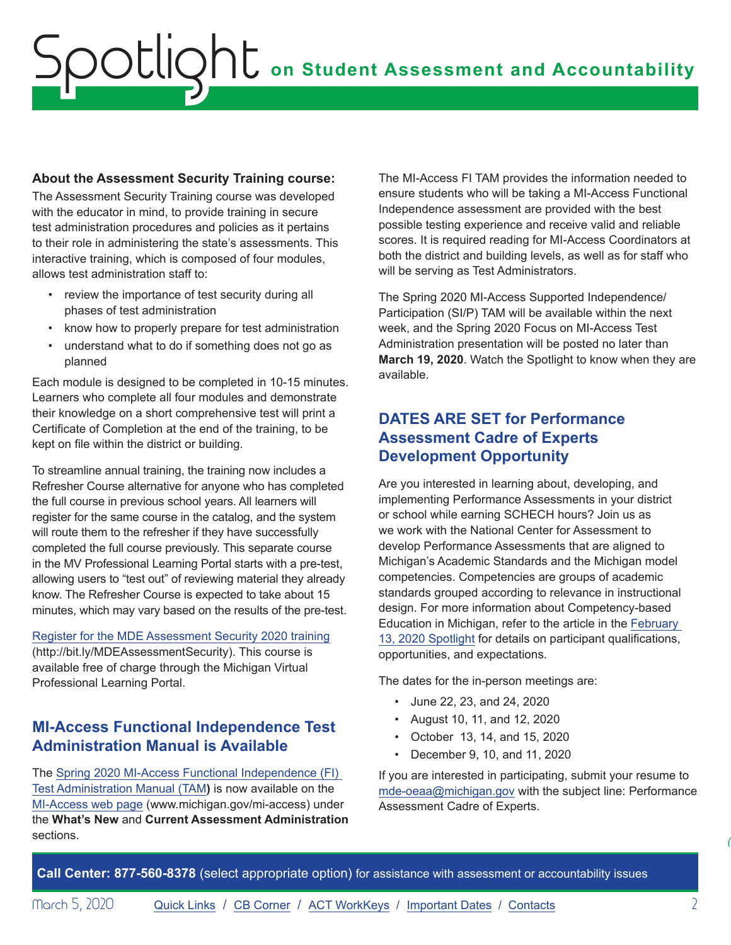#### <span id="page-1-0"></span>**About the Assessment Security Training course:**

The Assessment Security Training course was developed with the educator in mind, to provide training in secure test administration procedures and policies as it pertains to their role in administering the state's assessments. This interactive training, which is composed of four modules, allows test administration staff to:

- review the importance of test security during all phases of test administration
- know how to properly prepare for test administration
- understand what to do if something does not go as planned

Each module is designed to be completed in 10-15 minutes. Learners who complete all four modules and demonstrate their knowledge on a short comprehensive test will print a Certificate of Completion at the end of the training, to be kept on file within the district or building.

To streamline annual training, the training now includes a Refresher Course alternative for anyone who has completed the full course in previous school years. All learners will register for the same course in the catalog, and the system will route them to the refresher if they have successfully completed the full course previously. This separate course in the MV Professional Learning Portal starts with a pre-test, allowing users to "test out" of reviewing material they already know. The Refresher Course is expected to take about 15 minutes, which may vary based on the results of the pre-test.

[Register for the MDE Assessment Security 2020 training](http://bit.ly/MDEAssessmentSecurity) (http://bit.ly/MDEAssessmentSecurity). This course is available free of charge through the Michigan Virtual Professional Learning Portal.

### **MI-Access Functional Independence Test Administration Manual is Available**

The [Spring 2020 MI-Access Functional Independence \(FI\)](https://www.michigan.gov/documents/mde/MI-ACCESS_Functional_Independence_TAM_635412_7.pdf)  [Test Administration Manual \(TAM](https://www.michigan.gov/documents/mde/MI-ACCESS_Functional_Independence_TAM_635412_7.pdf)**)** is now available on the [MI-Access web page](http://www.michigan.gov/mi-access) (www.michigan.gov/mi-access) under the **What's New** and **Current Assessment Administration** sections.

The MI-Access FI TAM provides the information needed to ensure students who will be taking a MI-Access Functional Independence assessment are provided with the best possible testing experience and receive valid and reliable scores. It is required reading for MI-Access Coordinators at both the district and building levels, as well as for staff who will be serving as Test Administrators.

The Spring 2020 MI-Access Supported Independence/ Participation (SI/P) TAM will be available within the next week, and the Spring 2020 Focus on MI-Access Test Administration presentation will be posted no later than **March 19, 2020**. Watch the Spotlight to know when they are available.

## **DATES ARE SET for Performance Assessment Cadre of Experts Development Opportunity**

Are you interested in learning about, developing, and implementing Performance Assessments in your district or school while earning SCHECH hours? Join us as we work with the National Center for Assessment to develop Performance Assessments that are aligned to Michigan's Academic Standards and the Michigan model competencies. Competencies are groups of academic standards grouped according to relevance in instructional design. For more information about Competency-based Education in Michigan, refer to the article in the [February](https://www.michigan.gov/documents/mde/Spotlight_2-13-20_681160_7.pdf)  [13, 2020 Spotlight](https://www.michigan.gov/documents/mde/Spotlight_2-13-20_681160_7.pdf) for details on participant qualifications, opportunities, and expectations.

The dates for the in-person meetings are:

- June 22, 23, and 24, 2020
- August 10, 11, and 12, 2020
- October 13, 14, and 15, 2020
- December 9, 10, and 11, 2020

If you are interested in participating, submit your resume to [mde-oeaa@michigan.gov](mailto:mde-oeaa%40michigan.gov?subject=Performance%20Assessment%20Cadre%20of%20Experts) with the subject line: Performance Assessment Cadre of Experts.

**Call Center: 877-560-8378** (select appropriate option) for assistance with assessment or accountability issues

*(Continued on next page)*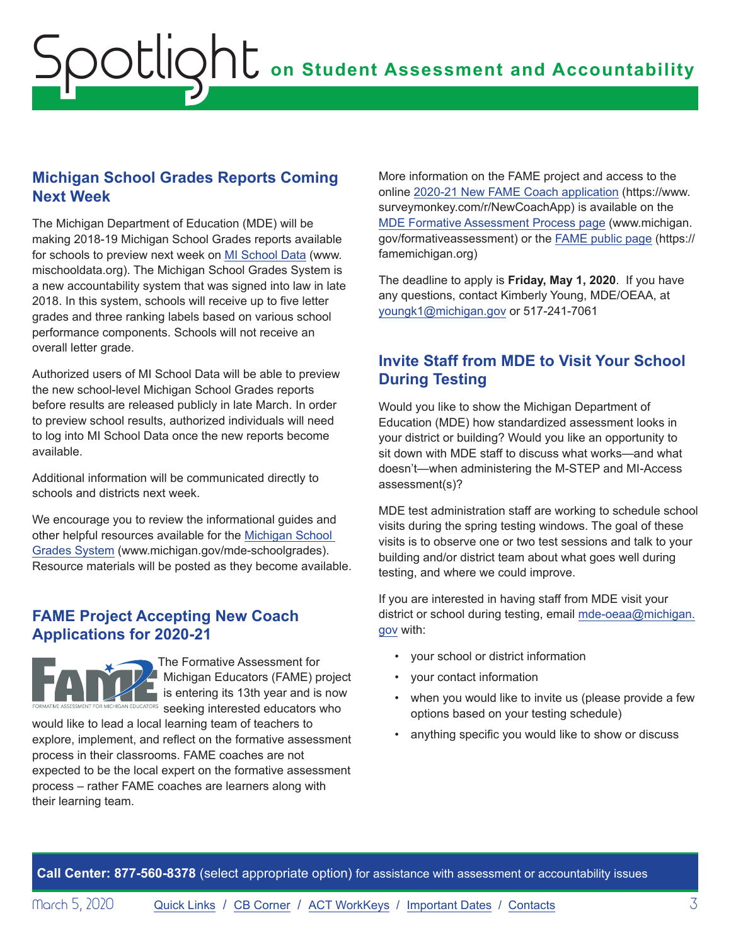### <span id="page-2-0"></span>**Michigan School Grades Reports Coming Next Week**

The Michigan Department of Education (MDE) will be making 2018-19 Michigan School Grades reports available for schools to preview next week on [MI School Data](http://www.mischooldata.org) (www. mischooldata.org). The Michigan School Grades System is a new accountability system that was signed into law in late 2018. In this system, schools will receive up to five letter grades and three ranking labels based on various school performance components. Schools will not receive an overall letter grade.

Authorized users of MI School Data will be able to preview the new school-level Michigan School Grades reports before results are released publicly in late March. In order to preview school results, authorized individuals will need to log into MI School Data once the new reports become available.

Additional information will be communicated directly to schools and districts next week.

We encourage you to review the informational guides and other helpful resources available for the [Michigan School](http://www.michigan.gov/mde-schoolgrades)  [Grades System](http://www.michigan.gov/mde-schoolgrades) (www.michigan.gov/mde-schoolgrades). Resource materials will be posted as they become available.

## **FAME Project Accepting New Coach Applications for 2020-21**



The Formative Assessment for **Michigan Educators (FAME) project** is entering its 13th year and is now  $\overline{\text{ssymen}^{\text{S}}\text{SNNER}}$  seeking interested educators who

would like to lead a local learning team of teachers to explore, implement, and reflect on the formative assessment process in their classrooms. FAME coaches are not expected to be the local expert on the formative assessment process – rather FAME coaches are learners along with their learning team.

More information on the FAME project and access to the online [2020-21 New FAME Coach application](https://www.surveymonkey.com/r/NewCoachApp) (https://www. surveymonkey.com/r/NewCoachApp) is available on the [MDE Formative Assessment Process page](http://www.michigan.gov/formativeassessment) (www.michigan. gov/formativeassessment) or the [FAME public page](https://famemichigan.org) (https:// famemichigan.org)

The deadline to apply is **Friday, May 1, 2020**. If you have any questions, contact Kimberly Young, MDE/OEAA, at [youngk1@michigan.gov](mailto:youngk1%40michigan.gov?subject=) or 517-241-7061

## **Invite Staff from MDE to Visit Your School During Testing**

Would you like to show the Michigan Department of Education (MDE) how standardized assessment looks in your district or building? Would you like an opportunity to sit down with MDE staff to discuss what works—and what doesn't—when administering the M-STEP and MI-Access assessment(s)?

MDE test administration staff are working to schedule school visits during the spring testing windows. The goal of these visits is to observe one or two test sessions and talk to your building and/or district team about what goes well during testing, and where we could improve.

If you are interested in having staff from MDE visit your district or school during testing, email [mde-oeaa@michigan.](mailto:mde-oeaa%40michigan.gov?subject=) [gov](mailto:mde-oeaa%40michigan.gov?subject=) with:

- your school or district information
- your contact information
- when you would like to invite us (please provide a few options based on your testing schedule)
- anything specific you would like to show or discuss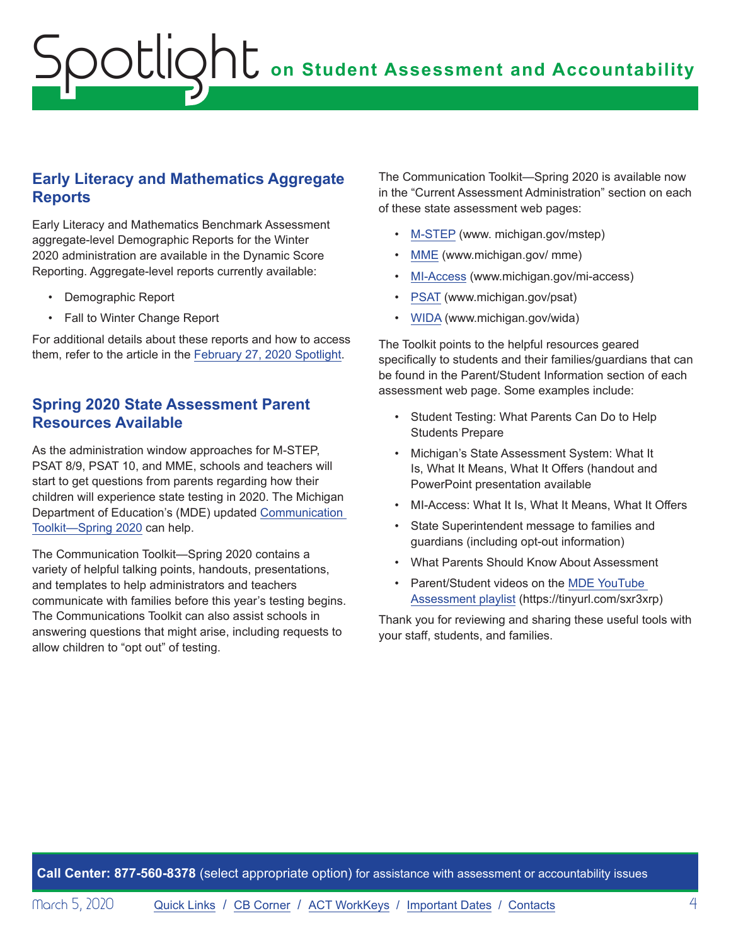### <span id="page-3-0"></span>**Early Literacy and Mathematics Aggregate Reports**

Early Literacy and Mathematics Benchmark Assessment aggregate-level Demographic Reports for the Winter 2020 administration are available in the Dynamic Score Reporting. Aggregate-level reports currently available:

- Demographic Report
- Fall to Winter Change Report

For additional details about these reports and how to access them, refer to the article in the [February 27, 2020 Spotlight](https://www.michigan.gov/documents/mde/Spotlight_2-27-20_682276_7.pdf).

## **Spring 2020 State Assessment Parent Resources Available**

As the administration window approaches for M-STEP, PSAT 8/9, PSAT 10, and MME, schools and teachers will start to get questions from parents regarding how their children will experience state testing in 2020. The Michigan Department of Education's (MDE) updated [Communication](https://www.michigan.gov/documents/mde/Communications_Toolkit_Administration_Spring2020_682094_7.docx)  [Toolkit—Spring 2020](https://www.michigan.gov/documents/mde/Communications_Toolkit_Administration_Spring2020_682094_7.docx) can help.

The Communication Toolkit—Spring 2020 contains a variety of helpful talking points, handouts, presentations, and templates to help administrators and teachers communicate with families before this year's testing begins. The Communications Toolkit can also assist schools in answering questions that might arise, including requests to allow children to "opt out" of testing.

The Communication Toolkit—Spring 2020 is available now in the "Current Assessment Administration" section on each of these state assessment web pages:

- [M-STEP](www.michigan.gov/mstep) (www. michigan.gov/mstep)
- [MME](www.michigan.gov/mme) (www.michigan.gov/ mme)
- [MI-Access](http://www.michigan.gov/mi-access) (www.michigan.gov/mi-access)
- [PSAT](http://www.michigan.gov/psat) (www.michigan.gov/psat)
- [WIDA](www.michigan.gov/wida) (www.michigan.gov/wida)

The Toolkit points to the helpful resources geared specifically to students and their families/guardians that can be found in the Parent/Student Information section of each assessment web page. Some examples include:

- Student Testing: What Parents Can Do to Help Students Prepare
- Michigan's State Assessment System: What It Is, What It Means, What It Offers (handout and PowerPoint presentation available
- MI-Access: What It Is, What It Means, What It Offers
- State Superintendent message to families and guardians (including opt-out information)
- What Parents Should Know About Assessment
- Parent/Student videos on the [MDE YouTube](https://www.youtube.com/results?search_query=Michigan+Department+of+Education+M-STEP)  [Assessment playlist](https://www.youtube.com/results?search_query=Michigan+Department+of+Education+M-STEP) (https://tinyurl.com/sxr3xrp)

Thank you for reviewing and sharing these useful tools with your staff, students, and families.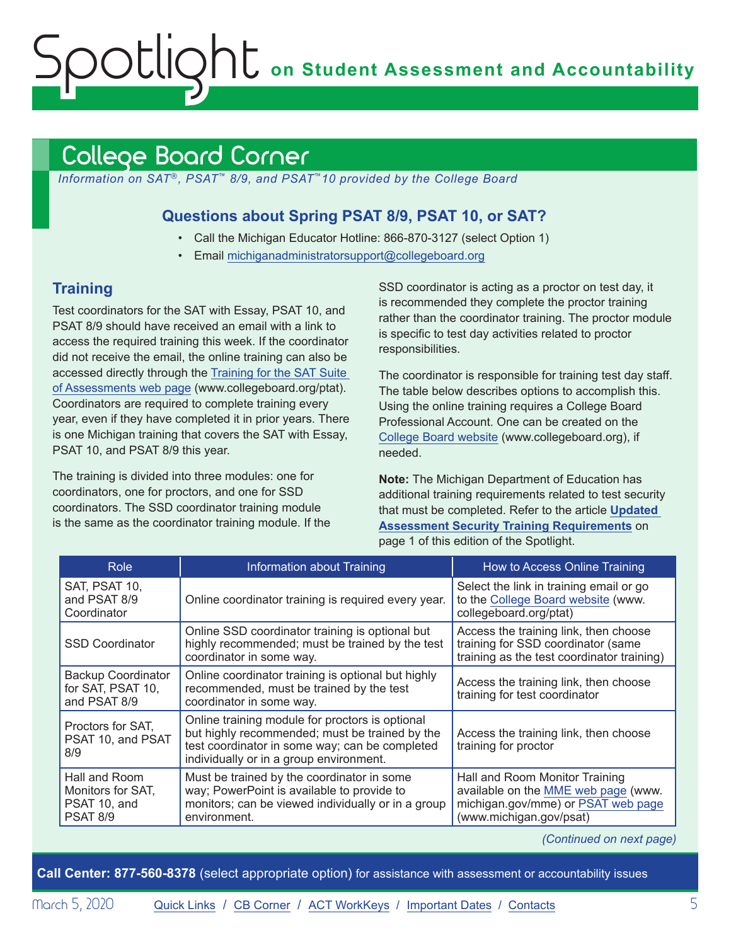## <span id="page-4-1"></span><span id="page-4-0"></span>College Board Corner

*Information on SAT*®*, PSAT*™ *8/9, and PSAT*™*10 provided by the College Board*

### **Questions about Spring PSAT 8/9, PSAT 10, or SAT?**

- Call the Michigan Educator Hotline: 866-870-3127 (select Option 1)
- Email [michiganadministratorsupport@collegeboard.org](mailto:michiganadministratorsupport%40collegeboard.org?subject=)

## **Training**

Test coordinators for the SAT with Essay, PSAT 10, and PSAT 8/9 should have received an email with a link to access the required training this week. If the coordinator did not receive the email, the online training can also be accessed directly through the [Training for the SAT Suite](http://www.collegeboard.org/ptat)  [of Assessments web page](http://www.collegeboard.org/ptat) (www.collegeboard.org/ptat). Coordinators are required to complete training every year, even if they have completed it in prior years. There is one Michigan training that covers the SAT with Essay, PSAT 10, and PSAT 8/9 this year.

The training is divided into three modules: one for coordinators, one for proctors, and one for SSD coordinators. The SSD coordinator training module is the same as the coordinator training module. If the

SSD coordinator is acting as a proctor on test day, it is recommended they complete the proctor training rather than the coordinator training. The proctor module is specific to test day activities related to proctor responsibilities.

The coordinator is responsible for training test day staff. The table below describes options to accomplish this. Using the online training requires a College Board Professional Account. One can be created on the [College Board website](http://www.collegeboard.org) (www.collegeboard.org), if needed.

**Note:** The Michigan Department of Education has additional training requirements related to test security that must be completed. Refer to the article **[Updated](#page-0-0)  [Assessment Security Training Requirements](#page-0-0)** on page 1 of this edition of the Spotlight.

| Role                                                                  | Information about Training                                                                                                                                                                     | How to Access Online Training                                                                                                          |
|-----------------------------------------------------------------------|------------------------------------------------------------------------------------------------------------------------------------------------------------------------------------------------|----------------------------------------------------------------------------------------------------------------------------------------|
| SAT, PSAT 10,<br>and PSAT 8/9<br>Coordinator                          | Online coordinator training is required every year.                                                                                                                                            | Select the link in training email or go<br>to the College Board website (www.<br>collegeboard.org/ptat)                                |
| <b>SSD Coordinator</b>                                                | Online SSD coordinator training is optional but<br>highly recommended; must be trained by the test<br>coordinator in some way.                                                                 | Access the training link, then choose<br>training for SSD coordinator (same<br>training as the test coordinator training)              |
| <b>Backup Coordinator</b><br>for SAT, PSAT 10,<br>and PSAT 8/9        | Online coordinator training is optional but highly<br>recommended, must be trained by the test<br>coordinator in some way.                                                                     | Access the training link, then choose<br>training for test coordinator                                                                 |
| Proctors for SAT,<br>PSAT 10, and PSAT<br>8/9                         | Online training module for proctors is optional<br>but highly recommended; must be trained by the<br>test coordinator in some way; can be completed<br>individually or in a group environment. | Access the training link, then choose<br>training for proctor                                                                          |
| Hall and Room<br>Monitors for SAT,<br>PSAT 10, and<br><b>PSAT 8/9</b> | Must be trained by the coordinator in some<br>way; PowerPoint is available to provide to<br>monitors; can be viewed individually or in a group<br>environment.                                 | Hall and Room Monitor Training<br>available on the MME web page (www.<br>michigan.gov/mme) or PSAT web page<br>(www.michigan.gov/psat) |

*(Continued on next page)*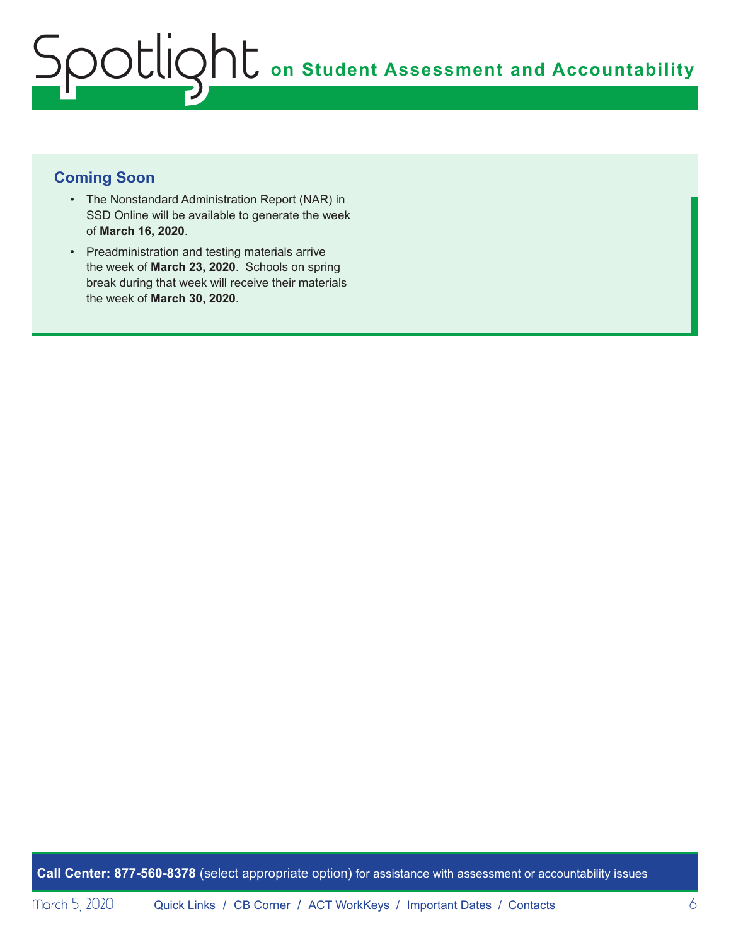## **Coming Soon**

- The Nonstandard Administration Report (NAR) in SSD Online will be available to generate the week of **March 16, 2020**.
- Preadministration and testing materials arrive the week of **March 23, 2020**. Schools on spring break during that week will receive their materials the week of **March 30, 2020**.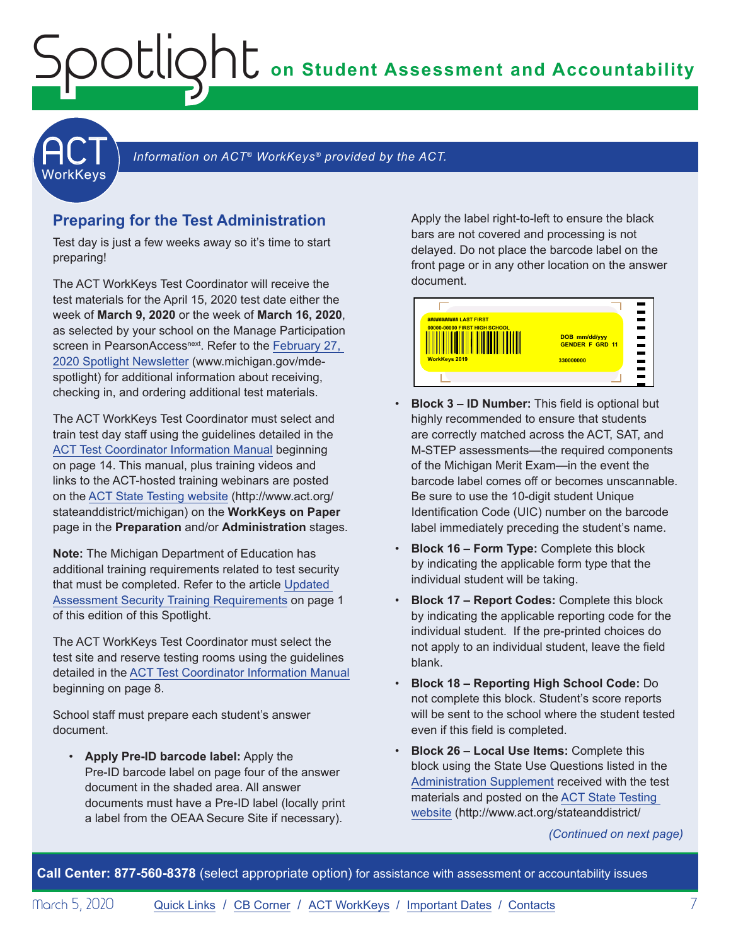**on Student Assessment and Accountability**

<span id="page-6-1"></span>

Information on ACT<sup>®</sup> WorkKeys<sup>®</sup> provided by the ACT.

#### **Preparing for the Test Administration**

<span id="page-6-0"></span>Spotlight

Test day is just a few weeks away so it's time to start preparing!

The ACT WorkKeys Test Coordinator will receive the test materials for the April 15, 2020 test date either the week of **March 9, 2020** or the week of **March 16, 2020**, as selected by your school on the Manage Participation screen in PearsonAccess<sup>next</sup>. Refer to the February 27, [2020 Spotlight Newsletter](https://www.michigan.gov/documents/mde/Spotlight_2-27-20_682276_7.pdf) (www.michigan.gov/mdespotlight) for additional information about receiving, checking in, and ordering additional test materials.

The ACT WorkKeys Test Coordinator must select and train test day staff using the guidelines detailed in the [ACT Test Coordinator Information Manual](https://www.act.org/content/dam/act/secured/documents/pdfs/state-district-test-coordinator-paper-test.pdf) beginning on page 14. This manual, plus training videos and links to the ACT-hosted training webinars are posted on the [ACT State Testing website](http://www.act.org/stateanddistrict/michigan) (http://www.act.org/ stateanddistrict/michigan) on the **WorkKeys on Paper** page in the **Preparation** and/or **Administration** stages.

**Note:** The Michigan Department of Education has additional training requirements related to test security that must be completed. Refer to the article [Updated](#page-0-0)  [Assessment Security Training Requirements](#page-0-0) on page 1 of this edition of this Spotlight.

The ACT WorkKeys Test Coordinator must select the test site and reserve testing rooms using the guidelines detailed in the [ACT Test Coordinator Information Manual](https://www.act.org/content/dam/act/secured/documents/pdfs/state-district-test-coordinator-paper-test.pdf) beginning on page 8.

School staff must prepare each student's answer document.

• **Apply Pre-ID barcode label:** Apply the Pre-ID barcode label on page four of the answer document in the shaded area. All answer documents must have a Pre-ID label (locally print a label from the OEAA Secure Site if necessary).

Apply the label right-to-left to ensure the black bars are not covered and processing is not delayed. Do not place the barcode label on the front page or in any other location on the answer document.



- **Block 3 ID Number:** This field is optional but highly recommended to ensure that students are correctly matched across the ACT, SAT, and M-STEP assessments—the required components of the Michigan Merit Exam—in the event the barcode label comes off or becomes unscannable. Be sure to use the 10-digit student Unique Identification Code (UIC) number on the barcode label immediately preceding the student's name.
- **Block 16 Form Type:** Complete this block by indicating the applicable form type that the individual student will be taking.
- **Block 17 Report Codes:** Complete this block by indicating the applicable reporting code for the individual student. If the pre-printed choices do not apply to an individual student, leave the field blank.
- **Block 18 Reporting High School Code:** Do not complete this block. Student's score reports will be sent to the school where the student tested even if this field is completed.
- **Block 26 Local Use Items:** Complete this block using the State Use Questions listed in the [Administration Supplement](http://www.act.org/content/dam/act/unsecured/documents/AdministrationSupplementWorkKeys-MI.pdf) received with the test materials and posted on the [ACT State Testing](http://www.act.org/stateanddistrict/michigan)  [website](http://www.act.org/stateanddistrict/michigan) (http://www.act.org/stateanddistrict/

*(Continued on next page)*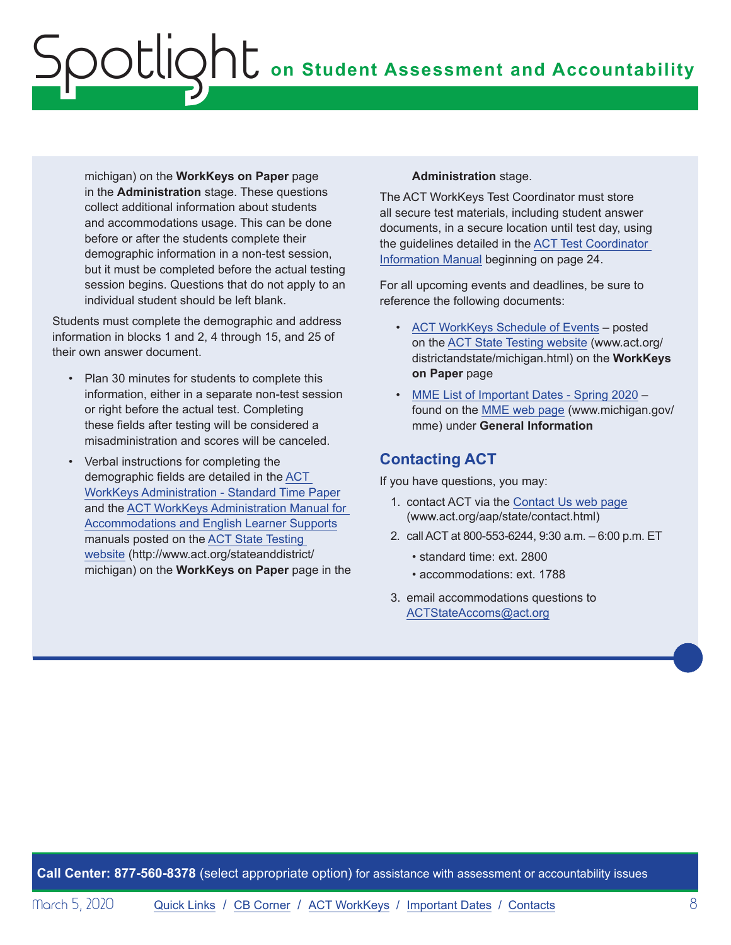michigan) on the **WorkKeys on Paper** page in the **Administration** stage. These questions collect additional information about students and accommodations usage. This can be done before or after the students complete their demographic information in a non-test session, but it must be completed before the actual testing session begins. Questions that do not apply to an individual student should be left blank.

Students must complete the demographic and address information in blocks 1 and 2, 4 through 15, and 25 of their own answer document.

- Plan 30 minutes for students to complete this information, either in a separate non-test session or right before the actual test. Completing these fields after testing will be considered a misadministration and scores will be canceled.
- Verbal instructions for completing the demographic fields are detailed in the [ACT](http://www.act.org/content/dam/act/secured/documents/pdfs/WK-Admin-SD-Std-Time-Paper-Secured.pdf)  [WorkKeys Administration - Standard Time Paper](http://www.act.org/content/dam/act/secured/documents/pdfs/WK-Admin-SD-Std-Time-Paper-Secured.pdf) and the [ACT WorkKeys Administration Manual for](http://www.act.org/content/dam/act/secured/documents/pdfs/WK-Admin-SD-Accoms-Secured.pdf)  [Accommodations and English Learner Supports](http://www.act.org/content/dam/act/secured/documents/pdfs/WK-Admin-SD-Accoms-Secured.pdf) manuals posted on the [ACT State Testing](http://www.act.org/stateanddistrict/michigan)  [website](http://www.act.org/stateanddistrict/michigan) (http://www.act.org/stateanddistrict/ michigan) on the **WorkKeys on Paper** page in the

#### **Administration** stage.

The ACT WorkKeys Test Coordinator must store all secure test materials, including student answer documents, in a secure location until test day, using the guidelines detailed in the [ACT Test Coordinator](https://www.act.org/content/dam/act/secured/documents/pdfs/state-district-test-coordinator-paper-test.pdf)  [Information Manual](https://www.act.org/content/dam/act/secured/documents/pdfs/state-district-test-coordinator-paper-test.pdf) beginning on page 24.

For all upcoming events and deadlines, be sure to reference the following documents:

- [ACT WorkKeys Schedule of Events](http://www.act.org/content/dam/act/unsecured/documents/ScheduleofEventsWorkKeys-MI.pdf) posted on the [ACT State Testing website](http://www.act.org/content/act/en/products-and-services/state-and-district-solutions/michigan.html) (www.act.org/ districtandstate/michigan.html) on the **WorkKeys on Paper** page
- [MME List of Important Dates Spring 2020](https://www.michigan.gov/documents/mde/MME_List_of_Important_Dates_668755_7.pdf)  found on the [MME web page](www.michigan.gov/mme) (www.michigan.gov/ mme) under **General Information**

### **Contacting ACT**

If you have questions, you may:

- 1. contact ACT via the [Contact Us web page](http://www.act.org/aap/state/contact.html) [\(www.act.org/aap/state/contact.html](https://www.act.org/aap/state/contact.html))
- 2. call ACT at 800-553-6244, 9:30 a.m. 6:00 p.m. ET
	- standard time: ext. 2800
	- accommodations: ext. 1788
- 3. email accommodations questions to [ACTStateAccoms@act.org](mailto:ACTStateAccoms%40act.org?subject=)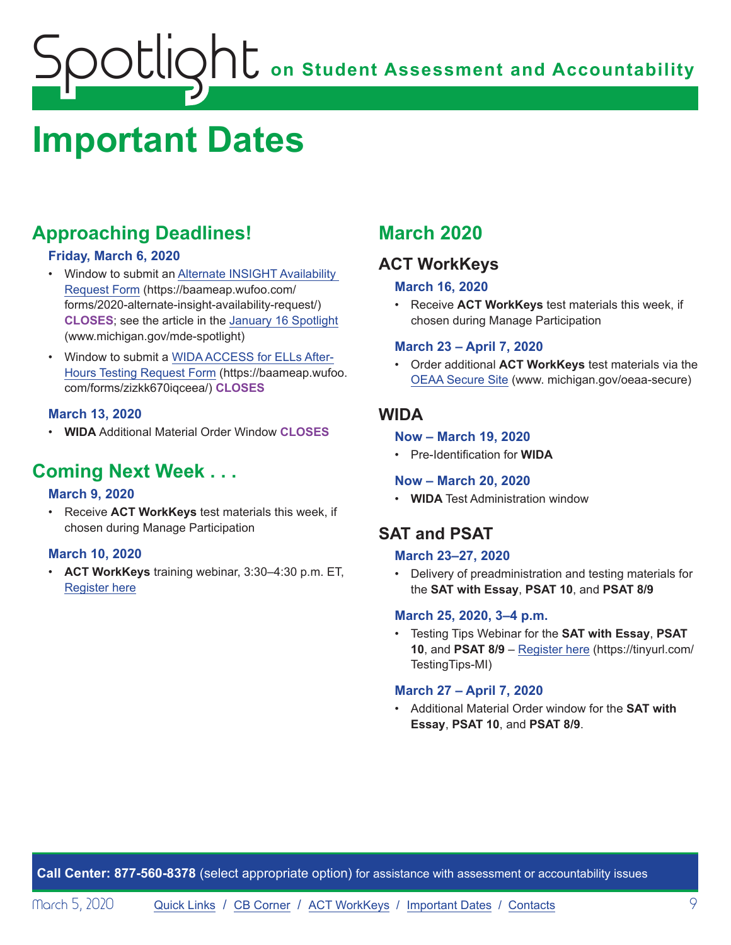## <span id="page-8-1"></span><span id="page-8-0"></span>**Important Dates**

## **Approaching Deadlines!**

#### **Friday, March 6, 2020**

- Window to submit an [Alternate INSIGHT Availability](https://baameap.wufoo.com/forms/2020-alternate-insight-availability-request/)  [Request Form](https://baameap.wufoo.com/forms/2020-alternate-insight-availability-request/) (https://baameap.wufoo.com/ forms/2020-alternate-insight-availability-request/) **CLOSES**; see the article in the [January 16 Spotlight](https://www.michigan.gov/documents/mde/Spotlight_1-16-20_678716_7.pdf) (www.michigan.gov/mde-spotlight)
- Window to submit a [WIDA ACCESS for ELLs After-](https://baameap.wufoo.com/forms/zizkk670iqceea/)[Hours Testing Request Form](https://baameap.wufoo.com/forms/zizkk670iqceea/) (https://baameap.wufoo. com/forms/zizkk670iqceea/) **CLOSES**

#### **March 13, 2020**

• **WIDA** Additional Material Order Window **CLOSES**

## **Coming Next Week . . .**

#### **March 9, 2020**

• Receive **ACT WorkKeys** test materials this week, if chosen during Manage Participation

#### **March 10, 2020**

• **ACT WorkKeys** training webinar, 3:30–4:30 p.m. ET, [Register here](https://event.on24.com/wcc/r/2124036/C50E209AAEDE2B03029BDE55DA459C17)

## **March 2020**

## **ACT WorkKeys**

#### **March 16, 2020**

• Receive **ACT WorkKeys** test materials this week, if chosen during Manage Participation

#### **March 23 – April 7, 2020**

• Order additional **ACT WorkKeys** test materials via the [OEAA Secure Site](http://www.michigan.gov/oeaa-secure) (www. michigan.gov/oeaa-secure)

### **WIDA**

#### **Now – March 19, 2020**

• Pre-Identification for **WIDA**

#### **Now – March 20, 2020**

• **WIDA** Test Administration window

## **SAT and PSAT**

#### **March 23–27, 2020**

• Delivery of preadministration and testing materials for the **SAT with Essay**, **PSAT 10**, and **PSAT 8/9**

#### **March 25, 2020, 3–4 p.m.**

• Testing Tips Webinar for the **SAT with Essay**, **PSAT 10**, and **PSAT 8/9** – [Register here](https://tinyurl.com/TestingTips-MI) (https://tinyurl.com/ TestingTips-MI)

#### **March 27 – April 7, 2020**

• Additional Material Order window for the **SAT with Essay**, **PSAT 10**, and **PSAT 8/9**.

**Call Center: 877-560-8378** (select appropriate option) for assistance with assessment or accountability issues

Morch 5, 2020 [Quick Links](#page-0-0) / [CB Corner](#page-4-1) / [ACT WorkKeys](#page-6-1) / [Important Dates](#page-8-1) / [Contacts](#page-9-1) 9